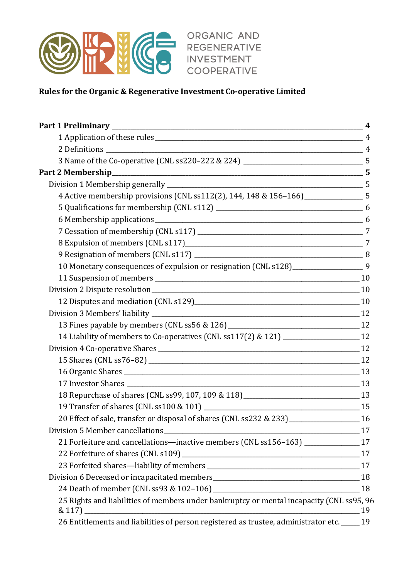

ORGANIC AND REGENERATIVE **INVESTMENT** COOPERATIVE

# **Rules for the Organic & Regenerative Investment Co-operative Limited**

| 4 Active membership provisions (CNL ss112(2), 144, 148 & 156-166) ___________________ 5         |    |
|-------------------------------------------------------------------------------------------------|----|
|                                                                                                 |    |
|                                                                                                 |    |
|                                                                                                 |    |
|                                                                                                 |    |
|                                                                                                 |    |
| 10 Monetary consequences of expulsion or resignation (CNL s128)_____________________9           |    |
|                                                                                                 |    |
|                                                                                                 |    |
|                                                                                                 |    |
|                                                                                                 |    |
|                                                                                                 |    |
| 14 Liability of members to Co-operatives (CNL ss117(2) & 121) ______________________12          |    |
|                                                                                                 |    |
|                                                                                                 |    |
|                                                                                                 |    |
|                                                                                                 |    |
| 18 Repurchase of shares (CNL ss99, 107, 109 & 118) _______________________________13            |    |
|                                                                                                 |    |
| 20 Effect of sale, transfer or disposal of shares (CNL ss232 & 233) ________________________ 16 |    |
|                                                                                                 | 17 |
| 21 Forfeiture and cancellations-inactive members (CNL ss156-163) _____________17                |    |
|                                                                                                 |    |
|                                                                                                 |    |
|                                                                                                 |    |
|                                                                                                 |    |
| 25 Rights and liabilities of members under bankruptcy or mental incapacity (CNL ss95, 96        |    |
| $& 117$ )                                                                                       | 19 |
| 26 Entitlements and liabilities of person registered as trustee, administrator etc. _____ 19    |    |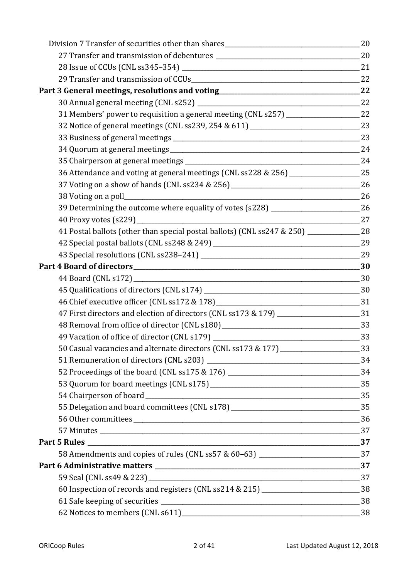| 31 Members' power to requisition a general meeting (CNL s257) ___________________ 22          |  |
|-----------------------------------------------------------------------------------------------|--|
|                                                                                               |  |
|                                                                                               |  |
|                                                                                               |  |
|                                                                                               |  |
| 36 Attendance and voting at general meetings (CNL ss228 & 256) __________________ 25          |  |
|                                                                                               |  |
|                                                                                               |  |
| 39 Determining the outcome where equality of votes (s228) _______________________ 26          |  |
|                                                                                               |  |
| 41 Postal ballots (other than special postal ballots) (CNL ss247 & 250) ______________ 28     |  |
|                                                                                               |  |
|                                                                                               |  |
|                                                                                               |  |
|                                                                                               |  |
|                                                                                               |  |
|                                                                                               |  |
| 47 First directors and election of directors (CNL ss173 & 179) _______________________31      |  |
|                                                                                               |  |
|                                                                                               |  |
| 50 Casual vacancies and alternate directors (CNL ss173 & 177) _______________________33       |  |
|                                                                                               |  |
|                                                                                               |  |
|                                                                                               |  |
|                                                                                               |  |
| 55 Delegation and board committees (CNL s178) ___________________________________ 35          |  |
|                                                                                               |  |
|                                                                                               |  |
|                                                                                               |  |
| 58 Amendments and copies of rules (CNL ss57 & 60-63) ____________________________37           |  |
|                                                                                               |  |
|                                                                                               |  |
| 60 Inspection of records and registers (CNL ss214 & 215) __________________________________38 |  |
|                                                                                               |  |
|                                                                                               |  |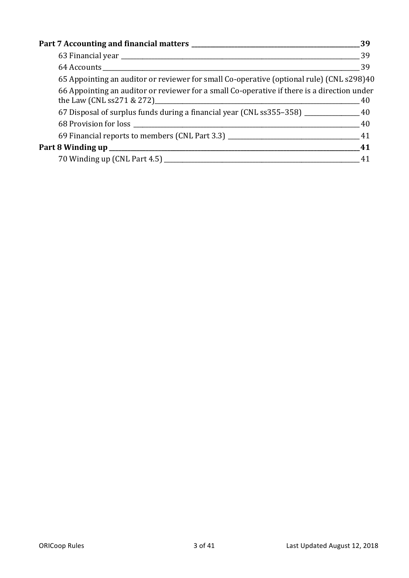|                                                                                             | 39 |
|---------------------------------------------------------------------------------------------|----|
|                                                                                             |    |
|                                                                                             |    |
| 65 Appointing an auditor or reviewer for small Co-operative (optional rule) (CNL s298)40    |    |
| 66 Appointing an auditor or reviewer for a small Co-operative if there is a direction under |    |
| 67 Disposal of surplus funds during a financial year (CNL ss 355 - 358) ________________ 40 |    |
|                                                                                             |    |
|                                                                                             |    |
|                                                                                             |    |
|                                                                                             |    |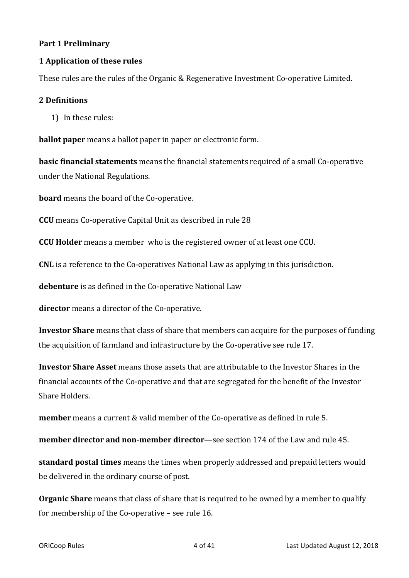#### **Part 1 Preliminary**

### **1 Application of these rules**

These rules are the rules of the Organic & Regenerative Investment Co-operative Limited.

#### **2 Definitions**

1) In these rules:

**ballot paper** means a ballot paper in paper or electronic form.

**basic financial statements** means the financial statements required of a small Co-operative under the National Regulations.

**board** means the board of the Co-operative.

**CCU** means Co-operative Capital Unit as described in rule 28

**CCU Holder** means a member who is the registered owner of at least one CCU.

**CNL** is a reference to the Co-operatives National Law as applying in this jurisdiction.

**debenture** is as defined in the Co-operative National Law

**director** means a director of the Co-operative.

**Investor Share** means that class of share that members can acquire for the purposes of funding the acquisition of farmland and infrastructure by the Co-operative see rule 17.

**Investor Share Asset** means those assets that are attributable to the Investor Shares in the financial accounts of the Co-operative and that are segregated for the benefit of the Investor Share Holders.

**member** means a current & valid member of the Co-operative as defined in rule 5.

**member director and non-member director**—see section 174 of the Law and rule 45.

**standard postal times** means the times when properly addressed and prepaid letters would be delivered in the ordinary course of post.

**Organic Share** means that class of share that is required to be owned by a member to qualify for membership of the Co-operative – see rule 16.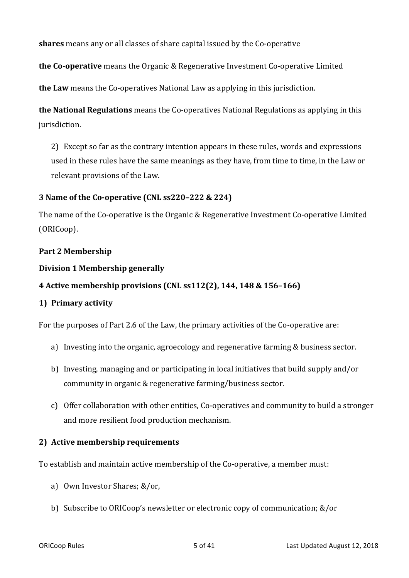**shares** means any or all classes of share capital issued by the Co-operative

**the Co-operative** means the Organic & Regenerative Investment Co-operative Limited

**the Law** means the Co-operatives National Law as applying in this jurisdiction.

**the National Regulations** means the Co-operatives National Regulations as applying in this jurisdiction. 

2) Except so far as the contrary intention appears in these rules, words and expressions used in these rules have the same meanings as they have, from time to time, in the Law or relevant provisions of the Law.

### **3** Name of the Co-operative (CNL ss220–222 & 224)

The name of the Co-operative is the Organic & Regenerative Investment Co-operative Limited (ORICoop).

### Part 2 Membership

### **Division 1 Membership generally**

# **4** Active membership provisions (CNL ss112(2), 144, 148 & 156-166)

# **1) Primary activity**

For the purposes of Part 2.6 of the Law, the primary activities of the Co-operative are:

- a) Investing into the organic, agroecology and regenerative farming & business sector.
- b) Investing, managing and or participating in local initiatives that build supply and/or community in organic & regenerative farming/business sector.
- c) Offer collaboration with other entities, Co-operatives and community to build a stronger and more resilient food production mechanism.

# **2)** Active membership requirements

To establish and maintain active membership of the Co-operative, a member must:

- a) Own Investor Shares; &/or,
- b) Subscribe to ORICoop's newsletter or electronic copy of communication;  $&/$  or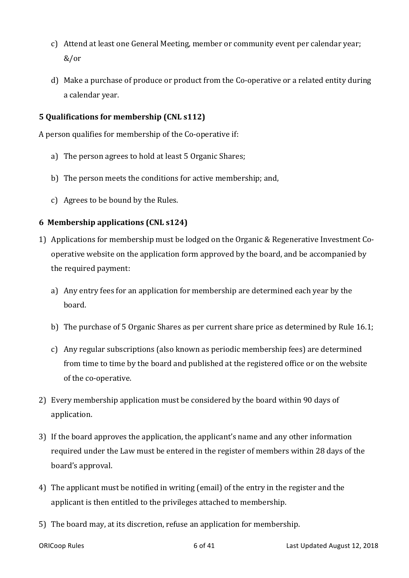- c) Attend at least one General Meeting, member or community event per calendar year; &/or
- d) Make a purchase of produce or product from the Co-operative or a related entity during a calendar vear.

### **5** Qualifications for membership (CNL s112)

A person qualifies for membership of the Co-operative if:

- a) The person agrees to hold at least 5 Organic Shares;
- b) The person meets the conditions for active membership; and,
- c) Agrees to be bound by the Rules.

### **6 Membership applications (CNL s124)**

- 1) Applications for membership must be lodged on the Organic & Regenerative Investment Cooperative website on the application form approved by the board, and be accompanied by the required payment:
	- a) Any entry fees for an application for membership are determined each year by the board.
	- b) The purchase of 5 Organic Shares as per current share price as determined by Rule  $16.1$ ;
	- c) Any regular subscriptions (also known as periodic membership fees) are determined from time to time by the board and published at the registered office or on the website of the co-operative.
- 2) Every membership application must be considered by the board within 90 days of application.
- 3) If the board approves the application, the applicant's name and any other information required under the Law must be entered in the register of members within 28 days of the board's approval.
- 4) The applicant must be notified in writing (email) of the entry in the register and the applicant is then entitled to the privileges attached to membership.
- 5) The board may, at its discretion, refuse an application for membership.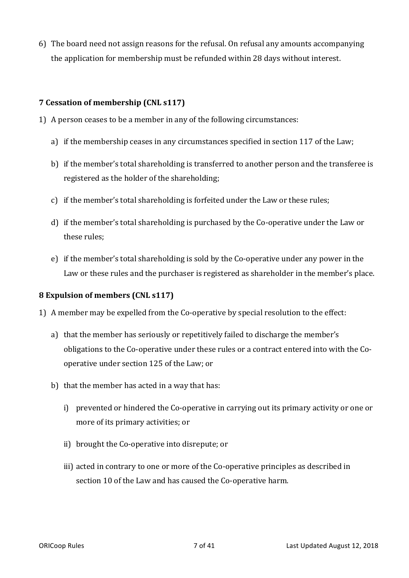6) The board need not assign reasons for the refusal. On refusal any amounts accompanying the application for membership must be refunded within 28 days without interest.

#### **7 Cessation of membership (CNL s117)**

- 1) A person ceases to be a member in any of the following circumstances:
	- a) if the membership ceases in any circumstances specified in section 117 of the Law;
	- b) if the member's total shareholding is transferred to another person and the transferee is registered as the holder of the shareholding;
	- c) if the member's total shareholding is forfeited under the Law or these rules;
	- d) if the member's total shareholding is purchased by the Co-operative under the Law or these rules:
	- e) if the member's total shareholding is sold by the Co-operative under any power in the Law or these rules and the purchaser is registered as shareholder in the member's place.

#### **8 Expulsion of members (CNL s117)**

- 1) A member may be expelled from the Co-operative by special resolution to the effect:
	- a) that the member has seriously or repetitively failed to discharge the member's obligations to the Co-operative under these rules or a contract entered into with the Cooperative under section 125 of the Law; or
	- b) that the member has acted in a way that has:
		- i) prevented or hindered the Co-operative in carrying out its primary activity or one or more of its primary activities; or
		- ii) brought the Co-operative into disrepute; or
		- iii) acted in contrary to one or more of the Co-operative principles as described in section 10 of the Law and has caused the Co-operative harm.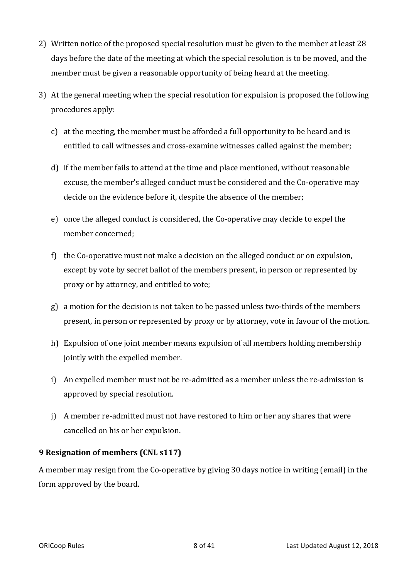- 2) Written notice of the proposed special resolution must be given to the member at least 28 days before the date of the meeting at which the special resolution is to be moved, and the member must be given a reasonable opportunity of being heard at the meeting.
- 3) At the general meeting when the special resolution for expulsion is proposed the following procedures apply:
	- c) at the meeting, the member must be afforded a full opportunity to be heard and is entitled to call witnesses and cross-examine witnesses called against the member;
	- d) if the member fails to attend at the time and place mentioned, without reasonable excuse, the member's alleged conduct must be considered and the Co-operative may decide on the evidence before it, despite the absence of the member;
	- e) once the alleged conduct is considered, the Co-operative may decide to expel the member concerned:
	- f) the Co-operative must not make a decision on the alleged conduct or on expulsion, except by vote by secret ballot of the members present, in person or represented by proxy or by attorney, and entitled to vote;
	- g) a motion for the decision is not taken to be passed unless two-thirds of the members present, in person or represented by proxy or by attorney, vote in favour of the motion.
	- h) Expulsion of one joint member means expulsion of all members holding membership jointly with the expelled member.
	- i) An expelled member must not be re-admitted as a member unless the re-admission is approved by special resolution.
	- j) A member re-admitted must not have restored to him or her any shares that were cancelled on his or her expulsion.

# **9** Resignation of members (CNL s117)

A member may resign from the Co-operative by giving 30 days notice in writing (email) in the form approved by the board.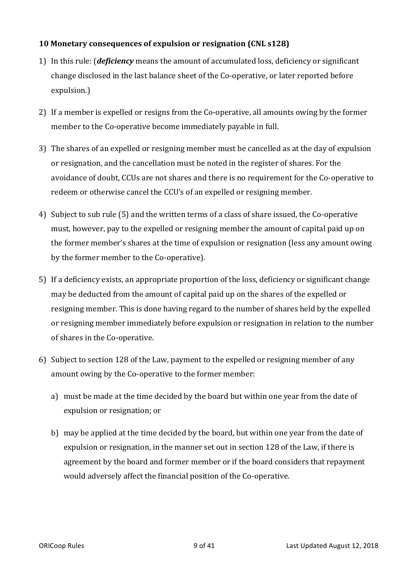# **10** Monetary consequences of expulsion or resignation (CNL s128)

- 1) In this rule: *(deficiency* means the amount of accumulated loss, deficiency or significant change disclosed in the last balance sheet of the Co-operative, or later reported before expulsion.)
- 2) If a member is expelled or resigns from the Co-operative, all amounts owing by the former member to the Co-operative become immediately payable in full.
- 3) The shares of an expelled or resigning member must be cancelled as at the day of expulsion or resignation, and the cancellation must be noted in the register of shares. For the avoidance of doubt, CCUs are not shares and there is no requirement for the Co-operative to redeem or otherwise cancel the CCU's of an expelled or resigning member.
- 4) Subject to sub rule (5) and the written terms of a class of share issued, the Co-operative must, however, pay to the expelled or resigning member the amount of capital paid up on the former member's shares at the time of expulsion or resignation (less any amount owing by the former member to the Co-operative).
- 5) If a deficiency exists, an appropriate proportion of the loss, deficiency or significant change may be deducted from the amount of capital paid up on the shares of the expelled or resigning member. This is done having regard to the number of shares held by the expelled or resigning member immediately before expulsion or resignation in relation to the number of shares in the Co-operative.
- 6) Subject to section 128 of the Law, payment to the expelled or resigning member of any amount owing by the Co-operative to the former member:
	- a) must be made at the time decided by the board but within one year from the date of expulsion or resignation; or
	- b) may be applied at the time decided by the board, but within one year from the date of expulsion or resignation, in the manner set out in section 128 of the Law, if there is agreement by the board and former member or if the board considers that repayment would adversely affect the financial position of the Co-operative.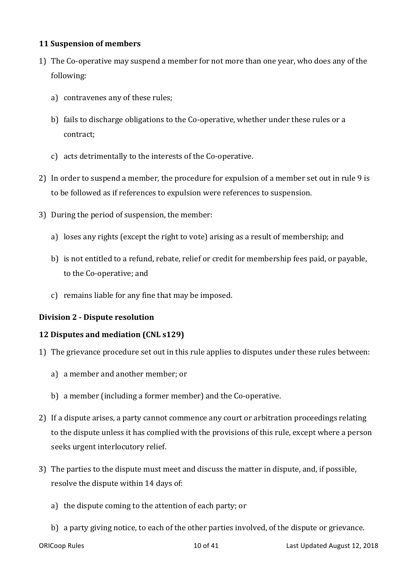#### **11 Suspension of members**

- 1) The Co-operative may suspend a member for not more than one year, who does any of the following:
	- a) contravenes any of these rules;
	- b) fails to discharge obligations to the Co-operative, whether under these rules or a contract;
	- c) acts detrimentally to the interests of the Co-operative.
- 2) In order to suspend a member, the procedure for expulsion of a member set out in rule 9 is to be followed as if references to expulsion were references to suspension.
- 3) During the period of suspension, the member:
	- a) loses any rights (except the right to vote) arising as a result of membership; and
	- b) is not entitled to a refund, rebate, relief or credit for membership fees paid, or payable, to the Co-operative; and
	- c) remains liable for any fine that may be imposed.

# **Division 2 - Dispute resolution**

# **12 Disputes and mediation (CNL s129)**

- 1) The grievance procedure set out in this rule applies to disputes under these rules between:
	- a) a member and another member; or
	- b) a member (including a former member) and the Co-operative.
- 2) If a dispute arises, a party cannot commence any court or arbitration proceedings relating to the dispute unless it has complied with the provisions of this rule, except where a person seeks urgent interlocutory relief.
- 3) The parties to the dispute must meet and discuss the matter in dispute, and, if possible, resolve the dispute within 14 days of:
	- a) the dispute coming to the attention of each party; or
	- b) a party giving notice, to each of the other parties involved, of the dispute or grievance.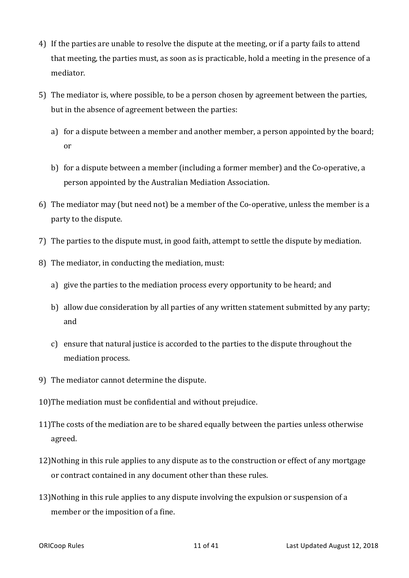- 4) If the parties are unable to resolve the dispute at the meeting, or if a party fails to attend that meeting, the parties must, as soon as is practicable, hold a meeting in the presence of a mediator.
- 5) The mediator is, where possible, to be a person chosen by agreement between the parties, but in the absence of agreement between the parties:
	- a) for a dispute between a member and another member, a person appointed by the board; or
	- b) for a dispute between a member (including a former member) and the Co-operative, a person appointed by the Australian Mediation Association.
- 6) The mediator may (but need not) be a member of the Co-operative, unless the member is a party to the dispute.
- 7) The parties to the dispute must, in good faith, attempt to settle the dispute by mediation.
- 8) The mediator, in conducting the mediation, must:
	- a) give the parties to the mediation process every opportunity to be heard; and
	- b) allow due consideration by all parties of any written statement submitted by any party; and
	- c) ensure that natural justice is accorded to the parties to the dispute throughout the mediation process.
- 9) The mediator cannot determine the dispute.
- 10)The mediation must be confidential and without prejudice.
- 11)The costs of the mediation are to be shared equally between the parties unless otherwise agreed.
- 12) Nothing in this rule applies to any dispute as to the construction or effect of any mortgage or contract contained in any document other than these rules.
- 13) Nothing in this rule applies to any dispute involving the expulsion or suspension of a member or the imposition of a fine.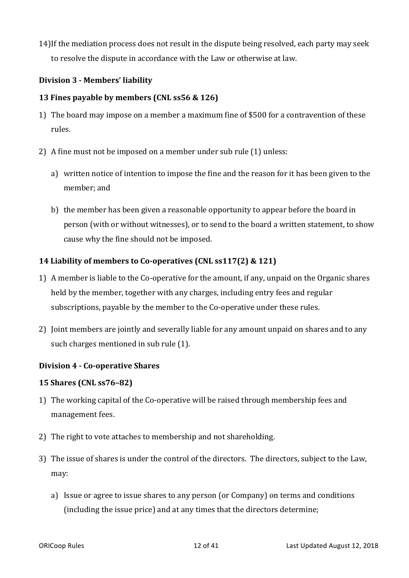14) If the mediation process does not result in the dispute being resolved, each party may seek to resolve the dispute in accordance with the Law or otherwise at law.

### **Division 3 - Members' liability**

#### **13 Fines payable by members (CNL ss56 & 126)**

- 1) The board may impose on a member a maximum fine of \$500 for a contravention of these rules.
- 2) A fine must not be imposed on a member under sub rule  $(1)$  unless:
	- a) written notice of intention to impose the fine and the reason for it has been given to the member; and
	- b) the member has been given a reasonable opportunity to appear before the board in person (with or without witnesses), or to send to the board a written statement, to show cause why the fine should not be imposed.

### **14 Liability of members to Co-operatives (CNL ss117(2) & 121)**

- 1) A member is liable to the Co-operative for the amount, if any, unpaid on the Organic shares held by the member, together with any charges, including entry fees and regular subscriptions, payable by the member to the Co-operative under these rules.
- 2) Joint members are jointly and severally liable for any amount unpaid on shares and to any such charges mentioned in sub rule (1).

#### **Division 4 - Co-operative Shares**

#### **15 Shares** (CNL ss76-82)

- 1) The working capital of the Co-operative will be raised through membership fees and management fees.
- 2) The right to vote attaches to membership and not shareholding.
- 3) The issue of shares is under the control of the directors. The directors, subject to the Law, may:
	- a) Issue or agree to issue shares to any person (or Company) on terms and conditions (including the issue price) and at any times that the directors determine;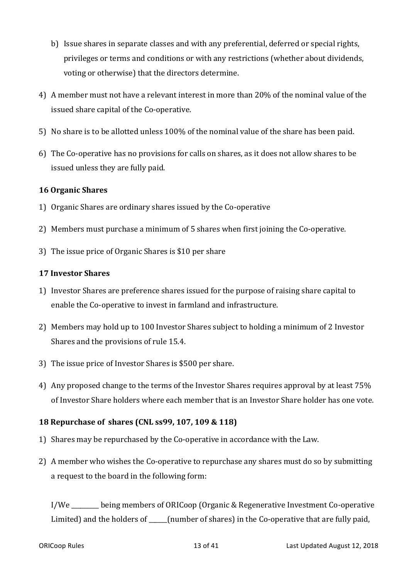- b) Issue shares in separate classes and with any preferential, deferred or special rights, privileges or terms and conditions or with any restrictions (whether about dividends, voting or otherwise) that the directors determine.
- 4) A member must not have a relevant interest in more than 20% of the nominal value of the issued share capital of the Co-operative.
- 5) No share is to be allotted unless 100% of the nominal value of the share has been paid.
- 6) The Co-operative has no provisions for calls on shares, as it does not allow shares to be issued unless they are fully paid.

### **16 Organic Shares**

- 1) Organic Shares are ordinary shares issued by the Co-operative
- 2) Members must purchase a minimum of 5 shares when first joining the Co-operative.
- 3) The issue price of Organic Shares is \$10 per share

### **17 Investor Shares**

- 1) Investor Shares are preference shares issued for the purpose of raising share capital to enable the Co-operative to invest in farmland and infrastructure.
- 2) Members may hold up to 100 Investor Shares subject to holding a minimum of 2 Investor Shares and the provisions of rule 15.4.
- 3) The issue price of Investor Shares is \$500 per share.
- 4) Any proposed change to the terms of the Investor Shares requires approval by at least 75% of Investor Share holders where each member that is an Investor Share holder has one vote.

# **18 Repurchase of shares (CNL ss99, 107, 109 & 118)**

- 1) Shares may be repurchased by the Co-operative in accordance with the Law.
- 2) A member who wishes the Co-operative to repurchase any shares must do so by submitting a request to the board in the following form:

I/We setting members of ORICoop (Organic & Regenerative Investment Co-operative Limited) and the holders of  $\qquad$  (number of shares) in the Co-operative that are fully paid,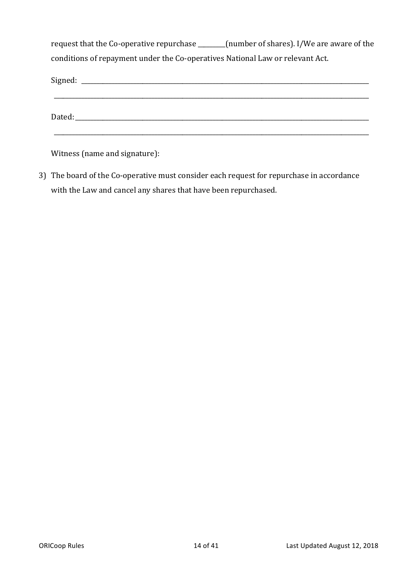request that the Co-operative repurchase \_\_\_\_\_\_\_(number of shares). I/We are aware of the conditions of repayment under the Co-operatives National Law or relevant Act.

| Dated: the contract of the contract of the contract of the contract of the contract of the contract of the contract of the contract of the contract of the contract of the contract of the contract of the contract of the con |  |  |
|--------------------------------------------------------------------------------------------------------------------------------------------------------------------------------------------------------------------------------|--|--|
|                                                                                                                                                                                                                                |  |  |

Witness (name and signature):

3) The board of the Co-operative must consider each request for repurchase in accordance with the Law and cancel any shares that have been repurchased.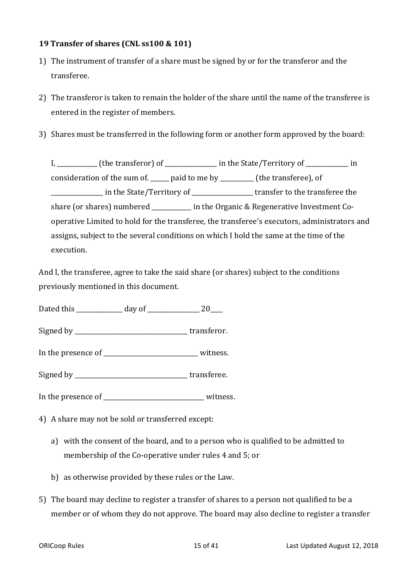### **19 Transfer of shares (CNL ss100 & 101)**

- 1) The instrument of transfer of a share must be signed by or for the transferor and the transferee.
- 2) The transferor is taken to remain the holder of the share until the name of the transferee is entered in the register of members.
- 3) Shares must be transferred in the following form or another form approved by the board:

I, the transferor) of each in the State/Territory of the transferor) of the state of  $\frac{1}{2}$  in consideration of the sum of.  $\frac{1}{\sqrt{2}}$  paid to me by  $\frac{1}{\sqrt{2}}$  (the transferee), of \_\_\_\_\_\_\_\_\_\_\_\_\_\_\_\_ in the State/Territory of \_\_\_\_\_\_\_\_\_\_\_\_\_\_\_\_\_\_\_\_ transfer to the transferee the share (or shares) numbered  $\qquad \qquad$  in the Organic & Regenerative Investment Cooperative Limited to hold for the transferee, the transferee's executors, administrators and assigns, subject to the several conditions on which I hold the same at the time of the execution. 

And I, the transferee, agree to take the said share (or shares) subject to the conditions previously mentioned in this document.

Dated this \_\_\_\_\_\_\_\_\_\_\_\_\_\_\_ day of \_\_\_\_\_\_\_\_\_\_\_\_\_\_\_\_\_ 20\_\_\_\_

Signed by transferor.

In the presence of \_\_\_\_\_\_\_\_\_\_\_\_\_\_\_\_\_\_\_\_\_\_\_\_\_\_\_\_\_\_\_ witness. 

Signed by \_\_\_\_\_\_\_\_\_\_\_\_\_\_\_\_\_\_\_\_\_\_\_\_\_\_\_\_\_\_\_\_\_\_\_\_\_ transferee. 

In the presence of \_\_\_\_\_\_\_\_\_\_\_\_\_\_\_\_\_\_\_\_\_\_\_\_\_\_\_\_\_\_\_\_\_ witness. 

4) A share may not be sold or transferred except:

- a) with the consent of the board, and to a person who is qualified to be admitted to membership of the Co-operative under rules 4 and 5; or
- b) as otherwise provided by these rules or the Law.
- 5) The board may decline to register a transfer of shares to a person not qualified to be a member or of whom they do not approve. The board may also decline to register a transfer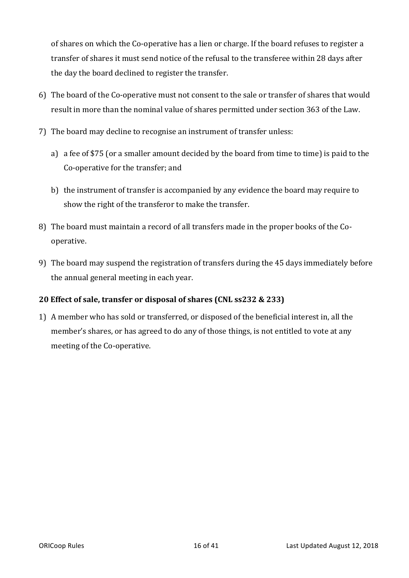of shares on which the Co-operative has a lien or charge. If the board refuses to register a transfer of shares it must send notice of the refusal to the transferee within 28 days after the day the board declined to register the transfer.

- 6) The board of the Co-operative must not consent to the sale or transfer of shares that would result in more than the nominal value of shares permitted under section 363 of the Law.
- 7) The board may decline to recognise an instrument of transfer unless:
	- a) a fee of \$75 (or a smaller amount decided by the board from time to time) is paid to the Co-operative for the transfer; and
	- b) the instrument of transfer is accompanied by any evidence the board may require to show the right of the transferor to make the transfer.
- 8) The board must maintain a record of all transfers made in the proper books of the Cooperative.
- 9) The board may suspend the registration of transfers during the 45 days immediately before the annual general meeting in each year.

# **20** Effect of sale, transfer or disposal of shares (CNL ss232 & 233)

1) A member who has sold or transferred, or disposed of the beneficial interest in, all the member's shares, or has agreed to do any of those things, is not entitled to vote at any meeting of the Co-operative.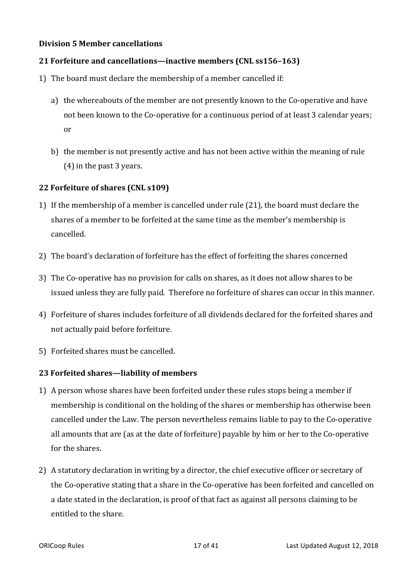#### **Division 5 Member cancellations**

#### **21 Forfeiture and cancellations—inactive members (CNL ss156-163)**

- 1) The board must declare the membership of a member cancelled if:
	- a) the whereabouts of the member are not presently known to the Co-operative and have not been known to the Co-operative for a continuous period of at least 3 calendar years; or
	- b) the member is not presently active and has not been active within the meaning of rule  $(4)$  in the past 3 years.

#### **22 Forfeiture of shares (CNL s109)**

- 1) If the membership of a member is cancelled under rule (21), the board must declare the shares of a member to be forfeited at the same time as the member's membership is cancelled.
- 2) The board's declaration of forfeiture has the effect of forfeiting the shares concerned
- 3) The Co-operative has no provision for calls on shares, as it does not allow shares to be issued unless they are fully paid. Therefore no forfeiture of shares can occur in this manner.
- 4) Forfeiture of shares includes forfeiture of all dividends declared for the forfeited shares and not actually paid before forfeiture.
- 5) Forfeited shares must be cancelled.

#### **23 Forfeited shares—liability of members**

- 1) A person whose shares have been forfeited under these rules stops being a member if membership is conditional on the holding of the shares or membership has otherwise been cancelled under the Law. The person nevertheless remains liable to pay to the Co-operative all amounts that are (as at the date of forfeiture) payable by him or her to the Co-operative for the shares
- 2) A statutory declaration in writing by a director, the chief executive officer or secretary of the Co-operative stating that a share in the Co-operative has been forfeited and cancelled on a date stated in the declaration, is proof of that fact as against all persons claiming to be entitled to the share.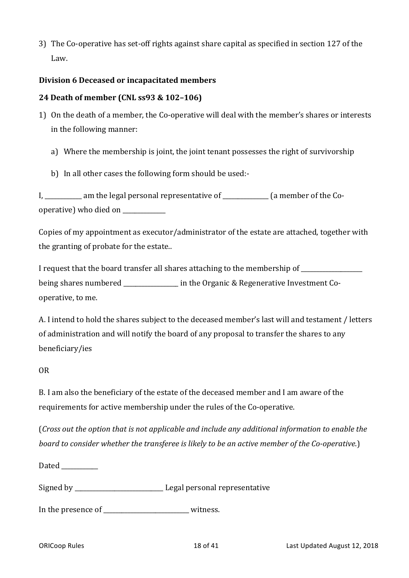3) The Co-operative has set-off rights against share capital as specified in section 127 of the Law. 

### **Division 6 Deceased or incapacitated members**

#### **24 Death of member (CNL ss93 & 102-106)**

- 1) On the death of a member, the Co-operative will deal with the member's shares or interests in the following manner:
	- a) Where the membership is joint, the joint tenant possesses the right of survivorship
	- b) In all other cases the following form should be used:-

I, \_\_\_\_\_\_\_\_\_\_\_ am the legal personal representative of \_\_\_\_\_\_\_\_\_\_\_\_\_ (a member of the Cooperative) who died on

Copies of my appointment as executor/administrator of the estate are attached, together with the granting of probate for the estate..

I request that the board transfer all shares attaching to the membership of \_\_\_\_\_\_\_\_\_\_ being shares numbered here in the Organic & Regenerative Investment Cooperative, to me.

A. I intend to hold the shares subject to the deceased member's last will and testament / letters of administration and will notify the board of any proposal to transfer the shares to any beneficiary/ies 

#### OR

B. I am also the beneficiary of the estate of the deceased member and I am aware of the requirements for active membership under the rules of the Co-operative.

(*Cross* out the option that is not applicable and include any additional information to enable the *board to consider whether the transferee is likely to be an active member of the Co-operative.)* 

Dated **Later** 

Signed by \_\_\_\_\_\_\_\_\_\_\_\_\_\_\_\_\_\_\_\_\_\_\_\_\_\_\_\_\_ Legal personal representative 

In the presence of \_\_\_\_\_\_\_\_\_\_\_\_\_\_\_\_\_\_\_\_\_\_\_\_\_\_\_\_ witness.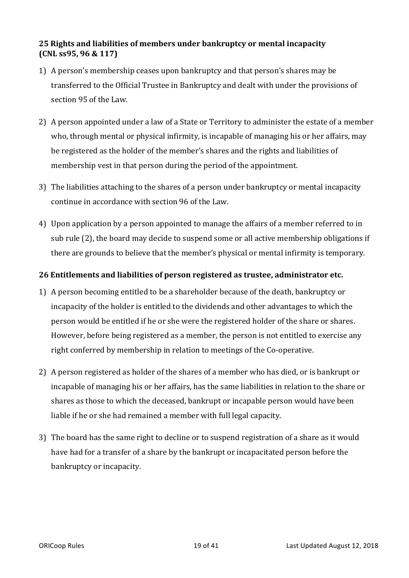### **25 Rights and liabilities of members under bankruptcy or mental incapacity (CNL ss95, 96 & 117)**

- 1) A person's membership ceases upon bankruptcy and that person's shares may be transferred to the Official Trustee in Bankruptcy and dealt with under the provisions of section 95 of the Law.
- 2) A person appointed under a law of a State or Territory to administer the estate of a member who, through mental or physical infirmity, is incapable of managing his or her affairs, may be registered as the holder of the member's shares and the rights and liabilities of membership vest in that person during the period of the appointment.
- 3) The liabilities attaching to the shares of a person under bankruptcy or mental incapacity continue in accordance with section 96 of the Law.
- 4) Upon application by a person appointed to manage the affairs of a member referred to in sub rule (2), the board may decide to suspend some or all active membership obligations if there are grounds to believe that the member's physical or mental infirmity is temporary.

# **26** Entitlements and liabilities of person registered as trustee, administrator etc.

- 1) A person becoming entitled to be a shareholder because of the death, bankruptcy or incapacity of the holder is entitled to the dividends and other advantages to which the person would be entitled if he or she were the registered holder of the share or shares. However, before being registered as a member, the person is not entitled to exercise any right conferred by membership in relation to meetings of the Co-operative.
- 2) A person registered as holder of the shares of a member who has died, or is bankrupt or incapable of managing his or her affairs, has the same liabilities in relation to the share or shares as those to which the deceased, bankrupt or incapable person would have been liable if he or she had remained a member with full legal capacity.
- 3) The board has the same right to decline or to suspend registration of a share as it would have had for a transfer of a share by the bankrupt or incapacitated person before the bankruptcy or incapacity.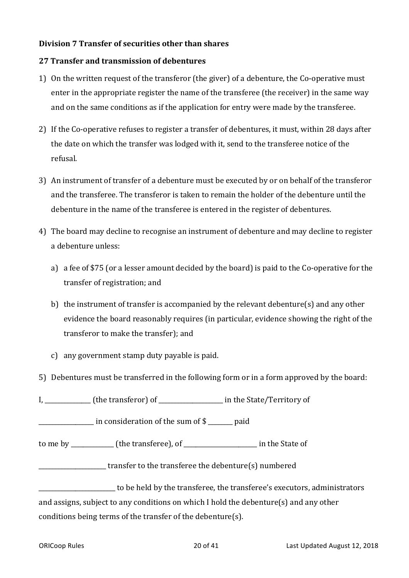#### **Division 7 Transfer of securities other than shares**

### **27 Transfer and transmission of debentures**

- 1) On the written request of the transferor (the giver) of a debenture, the Co-operative must enter in the appropriate register the name of the transferee (the receiver) in the same way and on the same conditions as if the application for entry were made by the transferee.
- 2) If the Co-operative refuses to register a transfer of debentures, it must, within 28 days after the date on which the transfer was lodged with it, send to the transferee notice of the refusal.
- 3) An instrument of transfer of a debenture must be executed by or on behalf of the transferor and the transferee. The transferor is taken to remain the holder of the debenture until the debenture in the name of the transferee is entered in the register of debentures.
- 4) The board may decline to recognise an instrument of debenture and may decline to register a debenture unless:
	- a) a fee of \$75 (or a lesser amount decided by the board) is paid to the Co-operative for the transfer of registration; and
	- b) the instrument of transfer is accompanied by the relevant debenture(s) and any other evidence the board reasonably requires (in particular, evidence showing the right of the transferor to make the transfer); and
	- c) any government stamp duty payable is paid.
- 5) Debentures must be transferred in the following form or in a form approved by the board:

If the sum of \$ \_\_\_\_\_\_\_\_\_\_\_ in consideration of the sum of \$ \_\_\_\_\_\_\_ paid

to me by \_\_\_\_\_\_\_\_\_\_\_\_\_\_ (the transferee), of \_\_\_\_\_\_\_\_\_\_\_\_\_\_\_\_\_\_\_\_\_\_\_\_ in the State of 

**EXECUTE:** transfer to the transferee the debenture(s) numbered

to be held by the transferee, the transferee's executors, administrators and assigns, subject to any conditions on which I hold the debenture(s) and any other conditions being terms of the transfer of the debenture(s).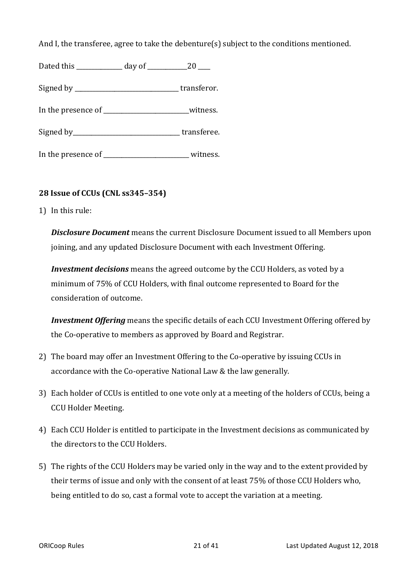And I, the transferee, agree to take the debenture(s) subject to the conditions mentioned.

| Dated this | day of |  |
|------------|--------|--|
|------------|--------|--|

Signed by \_\_\_\_\_\_\_\_\_\_\_\_\_\_\_\_\_\_\_\_\_\_\_\_\_\_\_\_\_\_\_\_\_\_ transferor. 

In the presence of witness.

Signed by transferee.

In the presence of \_\_\_\_\_\_\_\_\_\_\_\_\_\_\_\_\_\_\_\_\_\_\_\_\_\_\_\_\_\_\_\_witness.

# **28 Issue of CCUs (CNL ss345–354)**

1) In this rule:

**Disclosure Document** means the current Disclosure Document issued to all Members upon joining, and any updated Disclosure Document with each Investment Offering.

*Investment decisions* means the agreed outcome by the CCU Holders, as voted by a minimum of 75% of CCU Holders, with final outcome represented to Board for the consideration of outcome.

*Investment Offering* means the specific details of each CCU Investment Offering offered by the Co-operative to members as approved by Board and Registrar.

- 2) The board may offer an Investment Offering to the Co-operative by issuing CCUs in accordance with the Co-operative National Law & the law generally.
- 3) Each holder of CCUs is entitled to one vote only at a meeting of the holders of CCUs, being a CCU Holder Meeting.
- 4) Each CCU Holder is entitled to participate in the Investment decisions as communicated by the directors to the CCU Holders.
- 5) The rights of the CCU Holders may be varied only in the way and to the extent provided by their terms of issue and only with the consent of at least 75% of those CCU Holders who, being entitled to do so, cast a formal vote to accept the variation at a meeting.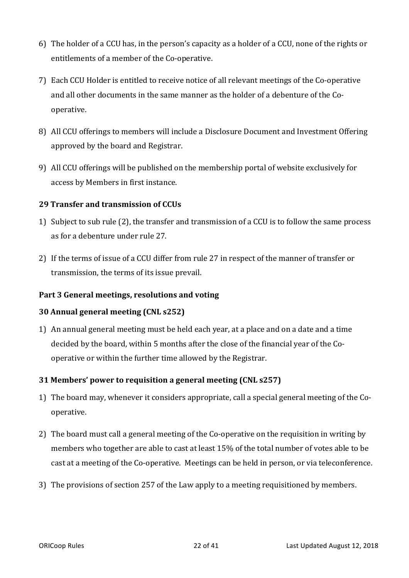- 6) The holder of a CCU has, in the person's capacity as a holder of a CCU, none of the rights or entitlements of a member of the Co-operative.
- 7) Each CCU Holder is entitled to receive notice of all relevant meetings of the Co-operative and all other documents in the same manner as the holder of a debenture of the Cooperative.
- 8) All CCU offerings to members will include a Disclosure Document and Investment Offering approved by the board and Registrar.
- 9) All CCU offerings will be published on the membership portal of website exclusively for access by Members in first instance.

# **29 Transfer and transmission of CCUs**

- 1) Subject to sub rule (2), the transfer and transmission of a CCU is to follow the same process as for a debenture under rule 27.
- 2) If the terms of issue of a CCU differ from rule 27 in respect of the manner of transfer or transmission, the terms of its issue prevail.

#### Part 3 General meetings, resolutions and voting

#### **30 Annual general meeting (CNL s252)**

1) An annual general meeting must be held each year, at a place and on a date and a time decided by the board, within 5 months after the close of the financial year of the Cooperative or within the further time allowed by the Registrar.

# **31 Members' power to requisition a general meeting (CNL s257)**

- 1) The board may, whenever it considers appropriate, call a special general meeting of the Cooperative.
- 2) The board must call a general meeting of the Co-operative on the requisition in writing by members who together are able to cast at least 15% of the total number of votes able to be cast at a meeting of the Co-operative. Meetings can be held in person, or via teleconference.
- 3) The provisions of section 257 of the Law apply to a meeting requisitioned by members.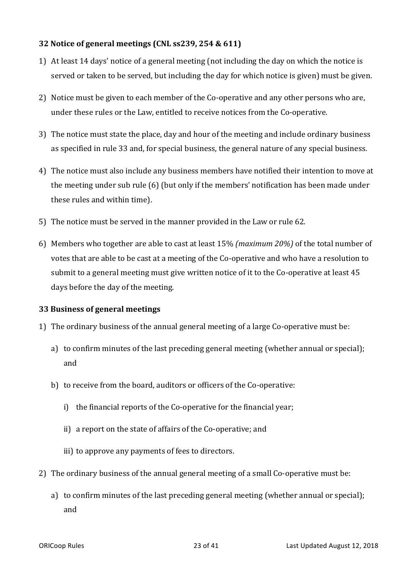# **32** Notice of general meetings (CNL ss239, 254 & 611)

- 1) At least 14 days' notice of a general meeting (not including the day on which the notice is served or taken to be served, but including the day for which notice is given) must be given.
- 2) Notice must be given to each member of the Co-operative and any other persons who are, under these rules or the Law, entitled to receive notices from the Co-operative.
- 3) The notice must state the place, day and hour of the meeting and include ordinary business as specified in rule 33 and, for special business, the general nature of any special business.
- 4) The notice must also include any business members have notified their intention to move at the meeting under sub rule  $(6)$  (but only if the members' notification has been made under these rules and within time).
- 5) The notice must be served in the manner provided in the Law or rule 62.
- 6) Members who together are able to cast at least 15% (maximum 20%) of the total number of votes that are able to be cast at a meeting of the Co-operative and who have a resolution to submit to a general meeting must give written notice of it to the Co-operative at least 45 days before the day of the meeting.

# **33 Business of general meetings**

- 1) The ordinary business of the annual general meeting of a large Co-operative must be:
	- a) to confirm minutes of the last preceding general meeting (whether annual or special); and
	- b) to receive from the board, auditors or officers of the Co-operative:
		- i) the financial reports of the Co-operative for the financial year;
		- ii) a report on the state of affairs of the Co-operative; and
		- iii) to approve any payments of fees to directors.
- 2) The ordinary business of the annual general meeting of a small Co-operative must be:
	- a) to confirm minutes of the last preceding general meeting (whether annual or special); and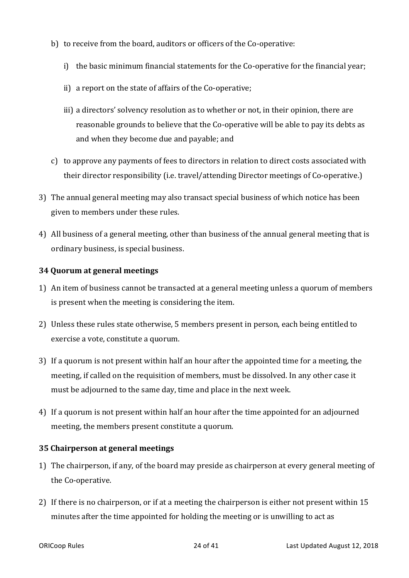- b) to receive from the board, auditors or officers of the Co-operative:
	- i) the basic minimum financial statements for the Co-operative for the financial year;
	- ii) a report on the state of affairs of the Co-operative;
	- iii) a directors' solvency resolution as to whether or not, in their opinion, there are reasonable grounds to believe that the Co-operative will be able to pay its debts as and when they become due and payable; and
- c) to approve any payments of fees to directors in relation to direct costs associated with their director responsibility (i.e. travel/attending Director meetings of Co-operative.)
- 3) The annual general meeting may also transact special business of which notice has been given to members under these rules.
- 4) All business of a general meeting, other than business of the annual general meeting that is ordinary business, is special business.

### **34 Quorum at general meetings**

- 1) An item of business cannot be transacted at a general meeting unless a quorum of members is present when the meeting is considering the item.
- 2) Unless these rules state otherwise, 5 members present in person, each being entitled to exercise a vote, constitute a quorum.
- 3) If a quorum is not present within half an hour after the appointed time for a meeting, the meeting, if called on the requisition of members, must be dissolved. In any other case it must be adjourned to the same day, time and place in the next week.
- 4) If a quorum is not present within half an hour after the time appointed for an adjourned meeting, the members present constitute a quorum.

# **35 Chairperson at general meetings**

- 1) The chairperson, if any, of the board may preside as chairperson at every general meeting of the Co-operative.
- 2) If there is no chairperson, or if at a meeting the chairperson is either not present within 15 minutes after the time appointed for holding the meeting or is unwilling to act as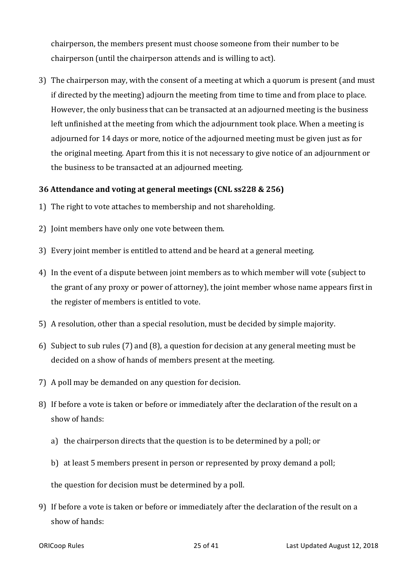chairperson, the members present must choose someone from their number to be chairperson (until the chairperson attends and is willing to act).

3) The chairperson may, with the consent of a meeting at which a quorum is present (and must if directed by the meeting) adjourn the meeting from time to time and from place to place. However, the only business that can be transacted at an adjourned meeting is the business left unfinished at the meeting from which the adjournment took place. When a meeting is adjourned for 14 days or more, notice of the adjourned meeting must be given just as for the original meeting. Apart from this it is not necessary to give notice of an adjournment or the business to be transacted at an adjourned meeting.

#### **36** Attendance and voting at general meetings (CNL ss228 & 256)

- 1) The right to vote attaches to membership and not shareholding.
- 2) Joint members have only one vote between them.
- 3) Every joint member is entitled to attend and be heard at a general meeting.
- 4) In the event of a dispute between joint members as to which member will vote (subject to the grant of any proxy or power of attorney), the joint member whose name appears first in the register of members is entitled to vote.
- 5) A resolution, other than a special resolution, must be decided by simple majority.
- 6) Subject to sub rules (7) and (8), a question for decision at any general meeting must be decided on a show of hands of members present at the meeting.
- 7) A poll may be demanded on any question for decision.
- 8) If before a vote is taken or before or immediately after the declaration of the result on a show of hands:
	- a) the chairperson directs that the question is to be determined by a poll; or
	- b) at least 5 members present in person or represented by proxy demand a poll;

the question for decision must be determined by a poll.

9) If before a vote is taken or before or immediately after the declaration of the result on a show of hands: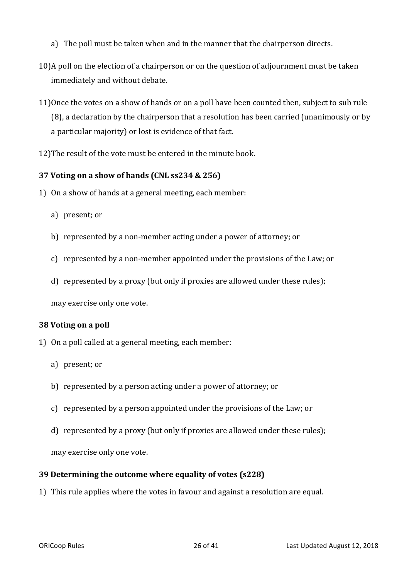- a) The poll must be taken when and in the manner that the chairperson directs.
- 10)A poll on the election of a chairperson or on the question of adiournment must be taken immediately and without debate.
- 11) Once the votes on a show of hands or on a poll have been counted then, subject to sub rule  $(8)$ , a declaration by the chairperson that a resolution has been carried (unanimously or by a particular majority) or lost is evidence of that fact.
- 12) The result of the vote must be entered in the minute book.

### **37 Voting on a show of hands (CNL ss234 & 256)**

- 1) On a show of hands at a general meeting, each member:
	- a) present; or
	- b) represented by a non-member acting under a power of attorney; or
	- c) represented by a non-member appointed under the provisions of the Law; or
	- d) represented by a proxy (but only if proxies are allowed under these rules);

may exercise only one vote.

#### **38 Voting on a poll**

- 1) On a poll called at a general meeting, each member:
	- a) present; or
	- b) represented by a person acting under a power of attorney; or
	- c) represented by a person appointed under the provisions of the Law; or
	- d) represented by a proxy (but only if proxies are allowed under these rules);

may exercise only one vote.

#### **39 Determining the outcome where equality of votes (s228)**

1) This rule applies where the votes in favour and against a resolution are equal.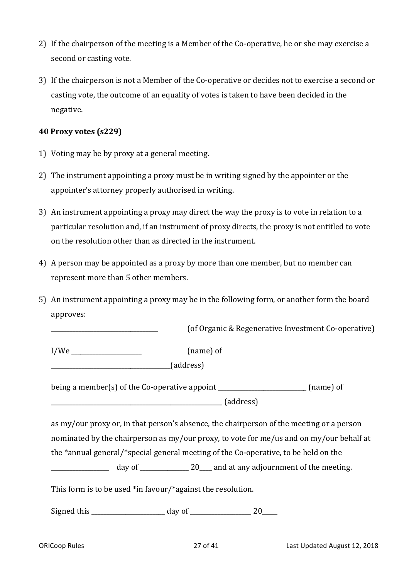- 2) If the chairperson of the meeting is a Member of the Co-operative, he or she may exercise a second or casting vote.
- 3) If the chairperson is not a Member of the Co-operative or decides not to exercise a second or casting vote, the outcome of an equality of votes is taken to have been decided in the negative.

### **40 Proxy votes (s229)**

- 1) Voting may be by proxy at a general meeting.
- 2) The instrument appointing a proxy must be in writing signed by the appointer or the appointer's attorney properly authorised in writing.
- 3) An instrument appointing a proxy may direct the way the proxy is to vote in relation to a particular resolution and, if an instrument of proxy directs, the proxy is not entitled to vote on the resolution other than as directed in the instrument.
- 4) A person may be appointed as a proxy by more than one member, but no member can represent more than 5 other members.
- 5) An instrument appointing a proxy may be in the following form, or another form the board approves:

\_\_\_\_\_\_\_\_\_\_\_\_\_\_\_\_\_\_\_\_\_\_\_\_\_\_\_\_\_\_\_\_\_\_\_ (of Organic & Regenerative Investment Co-operative)

 $I/We$  (name) of

\_\_\_\_\_\_\_\_\_\_\_\_\_\_\_\_\_\_\_\_\_\_\_\_\_\_\_\_\_\_\_\_\_\_\_\_\_\_\_(address) 

being a member(s) of the Co-operative appoint \_\_\_\_\_\_\_\_\_\_\_\_\_\_\_\_\_\_\_\_\_\_\_\_\_ (name) of \_\_\_\_\_\_\_\_\_\_\_\_\_\_\_\_\_\_\_\_\_\_\_\_\_\_\_\_\_\_\_\_\_\_\_\_\_\_\_\_\_\_\_\_\_\_\_\_\_\_\_\_\_\_\_\_ (address) 

as my/our proxy or, in that person's absence, the chairperson of the meeting or a person nominated by the chairperson as my/our proxy, to vote for me/us and on my/our behalf at the  $*$ annual general/ $*$ special general meeting of the Co-operative, to be held on the

 $\frac{1}{20}$  day of  $\frac{20}{20}$  and at any adjournment of the meeting.

This form is to be used \*in favour/\*against the resolution.

Signed this \_\_\_\_\_\_\_\_\_\_\_\_\_\_\_\_\_\_\_\_\_\_\_\_ day of \_\_\_\_\_\_\_\_\_\_\_\_\_\_\_\_\_\_\_\_ 20\_\_\_\_\_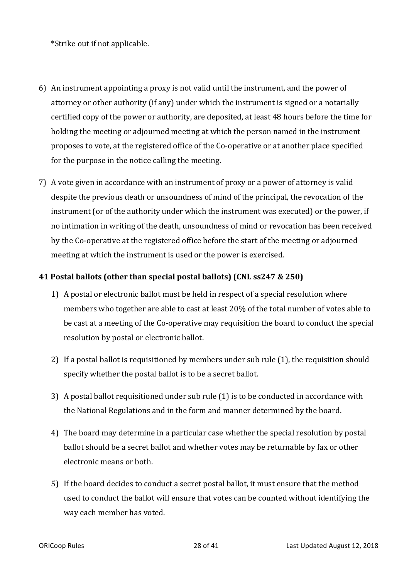\*Strike out if not applicable.

- 6) An instrument appointing a proxy is not valid until the instrument, and the power of attorney or other authority (if any) under which the instrument is signed or a notarially certified copy of the power or authority, are deposited, at least 48 hours before the time for holding the meeting or adjourned meeting at which the person named in the instrument proposes to vote, at the registered office of the Co-operative or at another place specified for the purpose in the notice calling the meeting.
- 7) A vote given in accordance with an instrument of proxy or a power of attorney is valid despite the previous death or unsoundness of mind of the principal, the revocation of the instrument (or of the authority under which the instrument was executed) or the power, if no intimation in writing of the death, unsoundness of mind or revocation has been received by the Co-operative at the registered office before the start of the meeting or adjourned meeting at which the instrument is used or the power is exercised.

### **41 Postal ballots (other than special postal ballots) (CNL ss247 & 250)**

- 1) A postal or electronic ballot must be held in respect of a special resolution where members who together are able to cast at least 20% of the total number of votes able to be cast at a meeting of the Co-operative may requisition the board to conduct the special resolution by postal or electronic ballot.
- 2) If a postal ballot is requisitioned by members under sub rule  $(1)$ , the requisition should specify whether the postal ballot is to be a secret ballot.
- 3) A postal ballot requisitioned under sub rule (1) is to be conducted in accordance with the National Regulations and in the form and manner determined by the board.
- 4) The board may determine in a particular case whether the special resolution by postal ballot should be a secret ballot and whether votes may be returnable by fax or other electronic means or both.
- 5) If the board decides to conduct a secret postal ballot, it must ensure that the method used to conduct the ballot will ensure that votes can be counted without identifying the way each member has voted.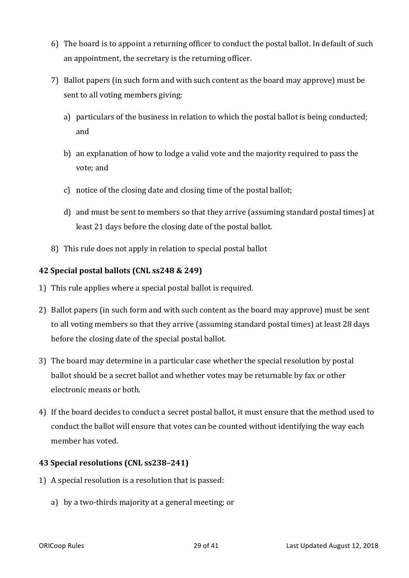- 6) The board is to appoint a returning officer to conduct the postal ballot. In default of such an appointment, the secretary is the returning officer.
- 7) Ballot papers (in such form and with such content as the board may approve) must be sent to all voting members giving:
	- a) particulars of the business in relation to which the postal ballot is being conducted; and
	- b) an explanation of how to lodge a valid vote and the majority required to pass the vote; and
	- c) notice of the closing date and closing time of the postal ballot;
	- d) and must be sent to members so that they arrive (assuming standard postal times) at least 21 days before the closing date of the postal ballot.
- 8) This rule does not apply in relation to special postal ballot

#### **42 Special postal ballots (CNL ss248 & 249)**

- 1) This rule applies where a special postal ballot is required.
- 2) Ballot papers (in such form and with such content as the board may approve) must be sent to all voting members so that they arrive (assuming standard postal times) at least 28 days before the closing date of the special postal ballot.
- 3) The board may determine in a particular case whether the special resolution by postal ballot should be a secret ballot and whether votes may be returnable by fax or other electronic means or both.
- 4) If the board decides to conduct a secret postal ballot, it must ensure that the method used to conduct the ballot will ensure that votes can be counted without identifying the way each member has voted.

#### **43 Special resolutions (CNL ss238-241)**

- 1) A special resolution is a resolution that is passed:
	- a) by a two-thirds majority at a general meeting; or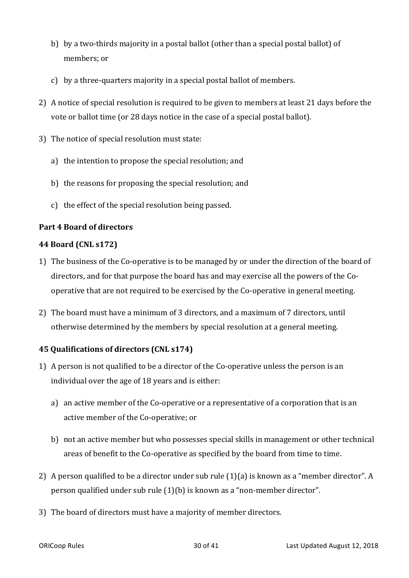- b) by a two-thirds majority in a postal ballot (other than a special postal ballot) of members; or
- c) by a three-quarters majority in a special postal ballot of members.
- 2) A notice of special resolution is required to be given to members at least 21 days before the vote or ballot time (or 28 days notice in the case of a special postal ballot).
- 3) The notice of special resolution must state:
	- a) the intention to propose the special resolution; and
	- b) the reasons for proposing the special resolution; and
	- c) the effect of the special resolution being passed.

# **Part 4 Board of directors**

# **44 Board (CNL s172)**

- 1) The business of the Co-operative is to be managed by or under the direction of the board of directors, and for that purpose the board has and may exercise all the powers of the Cooperative that are not required to be exercised by the Co-operative in general meeting.
- 2) The board must have a minimum of 3 directors, and a maximum of 7 directors, until otherwise determined by the members by special resolution at a general meeting.

# **45 Qualifications of directors (CNL s174)**

- 1) A person is not qualified to be a director of the Co-operative unless the person is an individual over the age of 18 years and is either:
	- a) an active member of the Co-operative or a representative of a corporation that is an active member of the Co-operative; or
	- b) not an active member but who possesses special skills in management or other technical areas of benefit to the Co-operative as specified by the board from time to time.
- 2) A person qualified to be a director under sub rule  $(1)(a)$  is known as a "member director". A person qualified under sub rule  $(1)(b)$  is known as a "non-member director".
- 3) The board of directors must have a majority of member directors.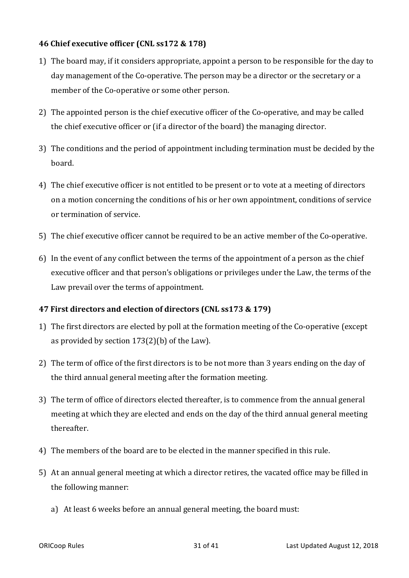### **46 Chief executive officer (CNL ss172 & 178)**

- 1) The board may, if it considers appropriate, appoint a person to be responsible for the day to day management of the Co-operative. The person may be a director or the secretary or a member of the Co-operative or some other person.
- 2) The appointed person is the chief executive officer of the Co-operative, and may be called the chief executive officer or (if a director of the board) the managing director.
- 3) The conditions and the period of appointment including termination must be decided by the board.
- 4) The chief executive officer is not entitled to be present or to vote at a meeting of directors on a motion concerning the conditions of his or her own appointment, conditions of service or termination of service.
- 5) The chief executive officer cannot be required to be an active member of the Co-operative.
- 6) In the event of any conflict between the terms of the appointment of a person as the chief executive officer and that person's obligations or privileges under the Law, the terms of the Law prevail over the terms of appointment.

# **47 First directors and election of directors (CNL ss173 & 179)**

- 1) The first directors are elected by poll at the formation meeting of the Co-operative (except as provided by section  $173(2)(b)$  of the Law).
- 2) The term of office of the first directors is to be not more than 3 years ending on the day of the third annual general meeting after the formation meeting.
- 3) The term of office of directors elected thereafter, is to commence from the annual general meeting at which they are elected and ends on the day of the third annual general meeting thereafter.
- 4) The members of the board are to be elected in the manner specified in this rule.
- 5) At an annual general meeting at which a director retires, the vacated office may be filled in the following manner:
	- a) At least 6 weeks before an annual general meeting, the board must: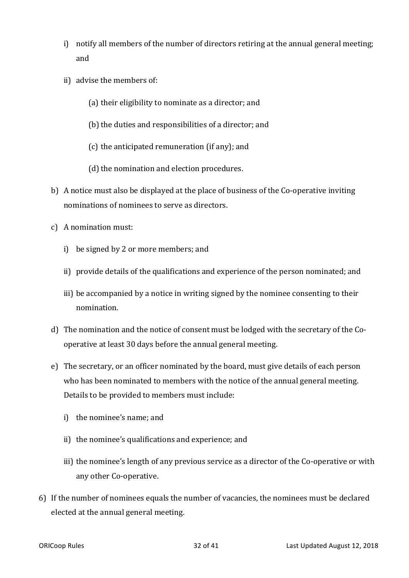- i) notify all members of the number of directors retiring at the annual general meeting; and
- ii) advise the members of:
	- (a) their eligibility to nominate as a director; and
	- (b) the duties and responsibilities of a director; and
	- $(c)$  the anticipated remuneration (if any); and
	- (d) the nomination and election procedures.
- b) A notice must also be displayed at the place of business of the Co-operative inviting nominations of nominees to serve as directors.
- c) A nomination must:
	- i) be signed by 2 or more members; and
	- ii) provide details of the qualifications and experience of the person nominated; and
	- iii) be accompanied by a notice in writing signed by the nominee consenting to their nomination.
- d) The nomination and the notice of consent must be lodged with the secretary of the Cooperative at least 30 days before the annual general meeting.
- e) The secretary, or an officer nominated by the board, must give details of each person who has been nominated to members with the notice of the annual general meeting. Details to be provided to members must include:
	- i) the nominee's name; and
	- ii) the nominee's qualifications and experience; and
	- iii) the nominee's length of any previous service as a director of the Co-operative or with any other Co-operative.
- 6) If the number of nominees equals the number of vacancies, the nominees must be declared elected at the annual general meeting.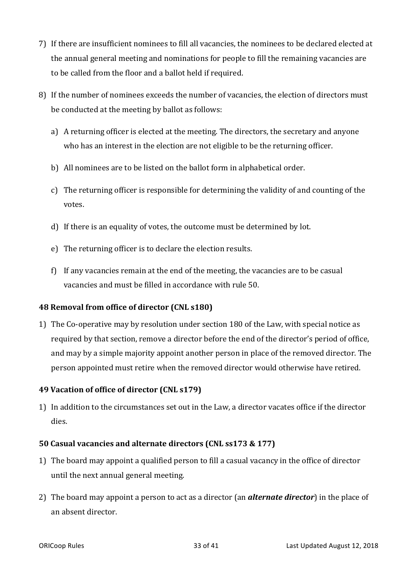- 7) If there are insufficient nominees to fill all vacancies, the nominees to be declared elected at the annual general meeting and nominations for people to fill the remaining vacancies are to be called from the floor and a ballot held if required.
- 8) If the number of nominees exceeds the number of vacancies, the election of directors must be conducted at the meeting by ballot as follows:
	- a) A returning officer is elected at the meeting. The directors, the secretary and anyone who has an interest in the election are not eligible to be the returning officer.
	- b) All nominees are to be listed on the ballot form in alphabetical order.
	- c) The returning officer is responsible for determining the validity of and counting of the votes.
	- d) If there is an equality of votes, the outcome must be determined by lot.
	- e) The returning officer is to declare the election results.
	- f) If any vacancies remain at the end of the meeting, the vacancies are to be casual vacancies and must be filled in accordance with rule 50.

# **48 Removal from office of director (CNL s180)**

1) The Co-operative may by resolution under section 180 of the Law, with special notice as required by that section, remove a director before the end of the director's period of office, and may by a simple majority appoint another person in place of the removed director. The person appointed must retire when the removed director would otherwise have retired.

# **49 Vacation of office of director (CNL s179)**

1) In addition to the circumstances set out in the Law, a director vacates office if the director dies. 

# **50 Casual vacancies and alternate directors (CNL ss173 & 177)**

- 1) The board may appoint a qualified person to fill a casual vacancy in the office of director until the next annual general meeting.
- 2) The board may appoint a person to act as a director (an **alternate director**) in the place of an absent director.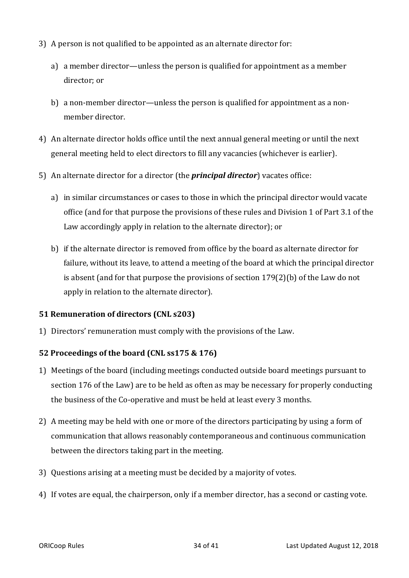- 3) A person is not qualified to be appointed as an alternate director for:
	- a) a member director—unless the person is qualified for appointment as a member director: or
	- b) a non-member director—unless the person is qualified for appointment as a nonmember director.
- 4) An alternate director holds office until the next annual general meeting or until the next general meeting held to elect directors to fill any vacancies (whichever is earlier).
- 5) An alternate director for a director (the *principal director*) vacates office:
	- a) in similar circumstances or cases to those in which the principal director would vacate office (and for that purpose the provisions of these rules and Division 1 of Part 3.1 of the Law accordingly apply in relation to the alternate director); or
	- b) if the alternate director is removed from office by the board as alternate director for failure, without its leave, to attend a meeting of the board at which the principal director is absent (and for that purpose the provisions of section  $179(2)$ (b) of the Law do not apply in relation to the alternate director).

#### **51 Remuneration of directors (CNL s203)**

1) Directors' remuneration must comply with the provisions of the Law.

# **52 Proceedings of the board (CNL ss175 & 176)**

- 1) Meetings of the board (including meetings conducted outside board meetings pursuant to section 176 of the Law) are to be held as often as may be necessary for properly conducting the business of the Co-operative and must be held at least every 3 months.
- 2) A meeting may be held with one or more of the directors participating by using a form of communication that allows reasonably contemporaneous and continuous communication between the directors taking part in the meeting.
- 3) Questions arising at a meeting must be decided by a majority of votes.
- 4) If votes are equal, the chairperson, only if a member director, has a second or casting vote.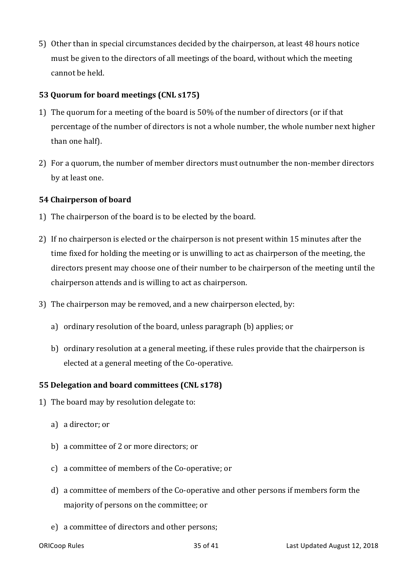5) Other than in special circumstances decided by the chairperson, at least 48 hours notice must be given to the directors of all meetings of the board, without which the meeting cannot be held. 

# **53 Quorum for board meetings (CNL s175)**

- 1) The quorum for a meeting of the board is 50% of the number of directors (or if that percentage of the number of directors is not a whole number, the whole number next higher than one half).
- 2) For a quorum, the number of member directors must outnumber the non-member directors by at least one.

# **54 Chairperson of board**

- 1) The chairperson of the board is to be elected by the board.
- 2) If no chairperson is elected or the chairperson is not present within 15 minutes after the time fixed for holding the meeting or is unwilling to act as chairperson of the meeting, the directors present may choose one of their number to be chairperson of the meeting until the chairperson attends and is willing to act as chairperson.
- 3) The chairperson may be removed, and a new chairperson elected, by:
	- a) ordinary resolution of the board, unless paragraph (b) applies; or
	- b) ordinary resolution at a general meeting, if these rules provide that the chairperson is elected at a general meeting of the Co-operative.

# **55 Delegation and board committees (CNL s178)**

- 1) The board may by resolution delegate to:
	- a) a director; or
	- b) a committee of 2 or more directors; or
	- c) a committee of members of the Co-operative; or
	- d) a committee of members of the Co-operative and other persons if members form the majority of persons on the committee; or
	- e) a committee of directors and other persons;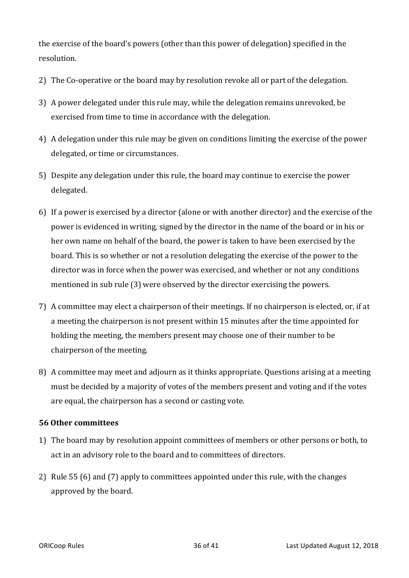the exercise of the board's powers (other than this power of delegation) specified in the resolution. 

- 2) The Co-operative or the board may by resolution revoke all or part of the delegation.
- 3) A power delegated under this rule may, while the delegation remains unrevoked, be exercised from time to time in accordance with the delegation.
- 4) A delegation under this rule may be given on conditions limiting the exercise of the power delegated, or time or circumstances.
- 5) Despite any delegation under this rule, the board may continue to exercise the power delegated.
- 6) If a power is exercised by a director (alone or with another director) and the exercise of the power is evidenced in writing, signed by the director in the name of the board or in his or her own name on behalf of the board, the power is taken to have been exercised by the board. This is so whether or not a resolution delegating the exercise of the power to the director was in force when the power was exercised, and whether or not any conditions mentioned in sub rule (3) were observed by the director exercising the powers.
- 7) A committee may elect a chairperson of their meetings. If no chairperson is elected, or, if at a meeting the chairperson is not present within 15 minutes after the time appointed for holding the meeting, the members present may choose one of their number to be chairperson of the meeting.
- 8) A committee may meet and adjourn as it thinks appropriate. Ouestions arising at a meeting must be decided by a majority of votes of the members present and voting and if the votes are equal, the chairperson has a second or casting vote.

#### **56 Other committees**

- 1) The board may by resolution appoint committees of members or other persons or both, to act in an advisory role to the board and to committees of directors.
- 2) Rule 55 (6) and (7) apply to committees appointed under this rule, with the changes approved by the board.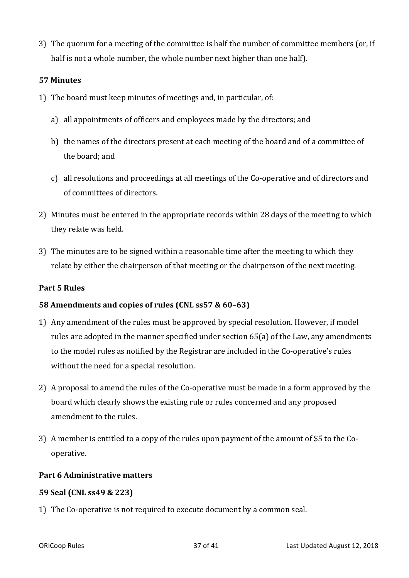3) The quorum for a meeting of the committee is half the number of committee members (or, if half is not a whole number, the whole number next higher than one half).

#### **57 Minutes**

- 1) The board must keep minutes of meetings and, in particular, of:
	- a) all appointments of officers and employees made by the directors; and
	- b) the names of the directors present at each meeting of the board and of a committee of the board; and
	- c) all resolutions and proceedings at all meetings of the Co-operative and of directors and of committees of directors.
- 2) Minutes must be entered in the appropriate records within 28 days of the meeting to which they relate was held.
- 3) The minutes are to be signed within a reasonable time after the meeting to which they relate by either the chairperson of that meeting or the chairperson of the next meeting.

#### **Part 5 Rules**

#### **58 Amendments and copies of rules (CNL ss57 & 60-63)**

- 1) Any amendment of the rules must be approved by special resolution. However, if model rules are adopted in the manner specified under section  $65(a)$  of the Law, any amendments to the model rules as notified by the Registrar are included in the Co-operative's rules without the need for a special resolution.
- 2) A proposal to amend the rules of the Co-operative must be made in a form approved by the board which clearly shows the existing rule or rules concerned and any proposed amendment to the rules.
- 3) A member is entitled to a copy of the rules upon payment of the amount of \$5 to the Cooperative.

#### **Part 6 Administrative matters**

#### **59 Seal (CNL ss49 & 223)**

1) The Co-operative is not required to execute document by a common seal.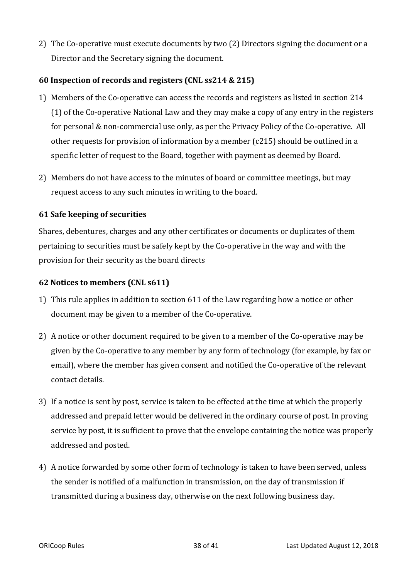2) The Co-operative must execute documents by two (2) Directors signing the document or a Director and the Secretary signing the document.

# **60 Inspection of records and registers (CNL ss214 & 215)**

- 1) Members of the Co-operative can access the records and registers as listed in section 214  $(1)$  of the Co-operative National Law and they may make a copy of any entry in the registers for personal  $&$  non-commercial use only, as per the Privacy Policy of the Co-operative. All other requests for provision of information by a member ( $c215$ ) should be outlined in a specific letter of request to the Board, together with payment as deemed by Board.
- 2) Members do not have access to the minutes of board or committee meetings, but may request access to any such minutes in writing to the board.

# **61 Safe keeping of securities**

Shares, debentures, charges and any other certificates or documents or duplicates of them pertaining to securities must be safely kept by the Co-operative in the way and with the provision for their security as the board directs

#### **62 Notices to members (CNL s611)**

- 1) This rule applies in addition to section 611 of the Law regarding how a notice or other document may be given to a member of the Co-operative.
- 2) A notice or other document required to be given to a member of the Co-operative may be given by the Co-operative to any member by any form of technology (for example, by fax or email), where the member has given consent and notified the Co-operative of the relevant contact details.
- 3) If a notice is sent by post, service is taken to be effected at the time at which the properly addressed and prepaid letter would be delivered in the ordinary course of post. In proving service by post, it is sufficient to prove that the envelope containing the notice was properly addressed and posted.
- 4) A notice forwarded by some other form of technology is taken to have been served, unless the sender is notified of a malfunction in transmission, on the day of transmission if transmitted during a business day, otherwise on the next following business day.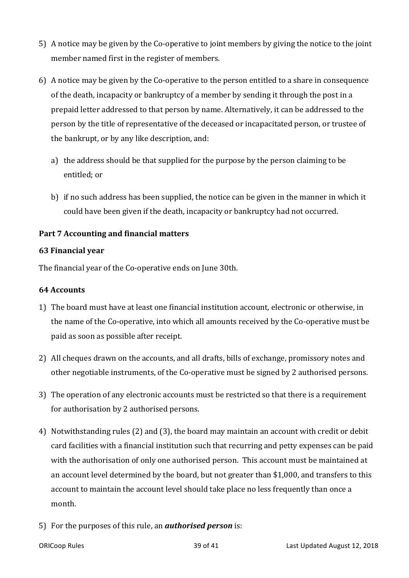- 5) A notice may be given by the Co-operative to joint members by giving the notice to the joint member named first in the register of members.
- 6) A notice may be given by the Co-operative to the person entitled to a share in consequence of the death, incapacity or bankruptcy of a member by sending it through the post in a prepaid letter addressed to that person by name. Alternatively, it can be addressed to the person by the title of representative of the deceased or incapacitated person, or trustee of the bankrupt, or by any like description, and:
	- a) the address should be that supplied for the purpose by the person claiming to be entitled; or
	- b) if no such address has been supplied, the notice can be given in the manner in which it could have been given if the death, incapacity or bankruptcy had not occurred.

# Part 7 Accounting and financial matters

### **63 Financial year**

The financial year of the Co-operative ends on June 30th.

### **64 Accounts**

- 1) The board must have at least one financial institution account, electronic or otherwise, in the name of the Co-operative, into which all amounts received by the Co-operative must be paid as soon as possible after receipt.
- 2) All cheques drawn on the accounts, and all drafts, bills of exchange, promissory notes and other negotiable instruments, of the Co-operative must be signed by 2 authorised persons.
- 3) The operation of any electronic accounts must be restricted so that there is a requirement for authorisation by 2 authorised persons.
- 4) Notwithstanding rules (2) and (3), the board may maintain an account with credit or debit card facilities with a financial institution such that recurring and petty expenses can be paid with the authorisation of only one authorised person. This account must be maintained at an account level determined by the board, but not greater than \$1,000, and transfers to this account to maintain the account level should take place no less frequently than once a month.
- 5) For the purposes of this rule, an *authorised person* is: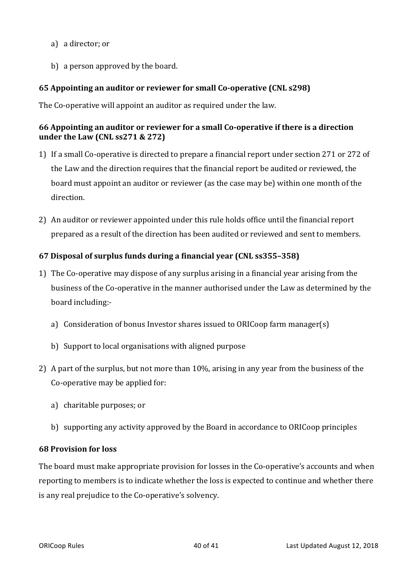- a) a director; or
- b) a person approved by the board.

# **65** Appointing an auditor or reviewer for small Co-operative (CNL s298)

The Co-operative will appoint an auditor as required under the law.

# **66** Appointing an auditor or reviewer for a small Co-operative if there is a direction **under the Law (CNL ss271 & 272)**

- 1) If a small Co-operative is directed to prepare a financial report under section 271 or 272 of the Law and the direction requires that the financial report be audited or reviewed, the board must appoint an auditor or reviewer (as the case may be) within one month of the direction.
- 2) An auditor or reviewer appointed under this rule holds office until the financial report prepared as a result of the direction has been audited or reviewed and sent to members.

# **67 Disposal of surplus funds during a financial year (CNL ss355-358)**

- 1) The Co-operative may dispose of any surplus arising in a financial year arising from the business of the Co-operative in the manner authorised under the Law as determined by the board including:
	- a) Consideration of bonus Investor shares issued to ORICoop farm manager(s)
	- b) Support to local organisations with aligned purpose
- 2) A part of the surplus, but not more than 10%, arising in any year from the business of the Co-operative may be applied for:
	- a) charitable purposes; or
	- b) supporting any activity approved by the Board in accordance to ORICoop principles

# **68 Provision for loss**

The board must make appropriate provision for losses in the Co-operative's accounts and when reporting to members is to indicate whether the loss is expected to continue and whether there is any real prejudice to the Co-operative's solvency.